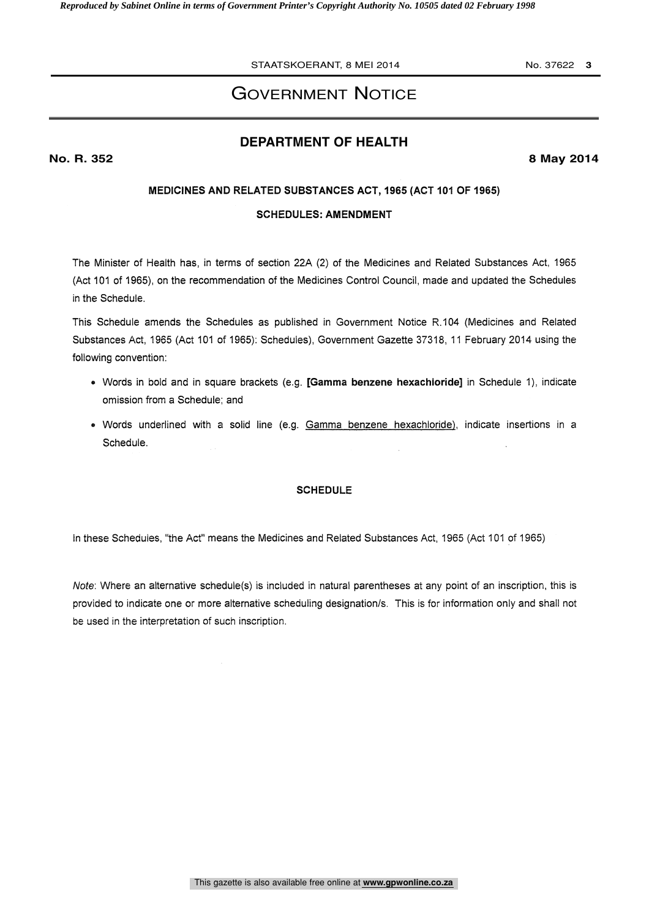# GOVERNMENT NOTICE

## **DEPARTMENT OF HEALTH**

**No. R. 352 8 May 2014**

## MEDICINES AND RELATED SUBSTANCES ACT, 1965 (ACT 101 OF 1965)

## SCHEDULES: AMENDMENT

The Minister of Health has, in terms of section 22A (2) of the Medicines and Related Substances Act, 1965 (Act 101 of 1965), on the recommendation of the Medicines Control Council, made and updated the Schedules in the Schedule.

This Schedule amends the Schedules as published in Government Notice R.104 (Medicines and Related Substances Act, 1965 (Act 101 of 1965): Schedules), Government Gazette 37318, 11 February 2014 using the following convention:

- Words in bold and in square brackets (e.g. [Gamma benzene hexachioride] in Schedule 1), indicate omission from a Schedule; and
- Words underlined with a solid line (e.g. Gamma benzene hexachloride), indicate insertions in a Schedule.

## **SCHEDULE**

In these Schedules, "the Act" means the Medicines and Related Substances Act, 1965 (Act 101 of 1965)

Note: Where an alternative schedule(s) is included in natural parentheses at any point of an inscription, this is provided to indicate one or more alternative scheduling designation/s. This is for information only and shall not be used in the interpretation of such inscription.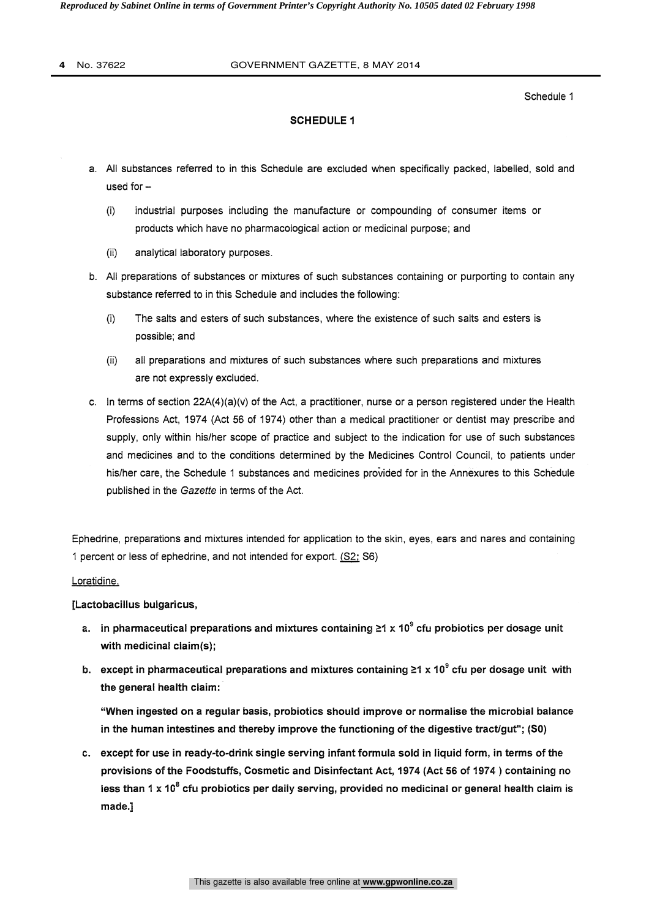#### **4** No. 37622 GOVERNMENT GAZETTE, 8 MAY 2014

Schedule 1

## SCHEDULE 1

- a. All substances referred to in this Schedule are excluded when specifically packed, labelled, sold and used for  $-$ 
	- (i) industrial purposes including the manufacture or compounding of consumer items or products which have no pharmacological action or medicinal purpose; and
	- (ii) analytical laboratory purposes.
- b. All preparations of substances or mixtures of such substances containing or purporting to contain any substance referred to in this Schedule and includes the following:
	- (I) The salts and esters of such substances, where the existence of such salts and esters is possible; and
	- (ii) all preparations and mixtures of such substances where such preparations and mixtures are not expressly excluded.
- c. In terms of section  $22A(4)(a)(v)$  of the Act, a practitioner, nurse or a person registered under the Health Professions Act, 1974 (Act 56 of 1974) other than a medical practitioner or dentist may prescribe and supply, only within his/her scope of practice and subject to the indication for use of such substances and medicines and to the conditions determined by the Medicines Control Council, to patients under his/her care, the Schedule 1 substances and medicines provided for in the Annexures to this Schedule published in the Gazette in terms of the Act.

Ephedrine, preparations and mixtures intended for application to the skin, eyes, ears and nares and containing 1 percent or less of ephedrine, and not intended for export. (S2; S6)

#### Loratidine,

## [Lactobacillus bulgaricus,

- a. in pharmaceutical preparations and mixtures containing  $\geq 1 \times 10^9$  cfu probiotics per dosage unit with medicinal claim(s);
- b. except in pharmaceutical preparations and mixtures containing  $\geq 1 \times 10^9$  cfu per dosage unit with the general health claim:

"When ingested on a regular basis, probiotics should improve or normalise the microbial balance in the human intestines and thereby improve the functioning of the digestive tract/gut"; (SO)

c. except for use in ready-to-drink single serving infant formula sold in liquid form, in terms of the provisions of the Foodstuffs, Cosmetic and Disinfectant Act, 1974 (Act 56 of 1974) containing no less than 1 x 10 $^8$  cfu probiotics per daily serving, provided no medicinal or general health claim is made.]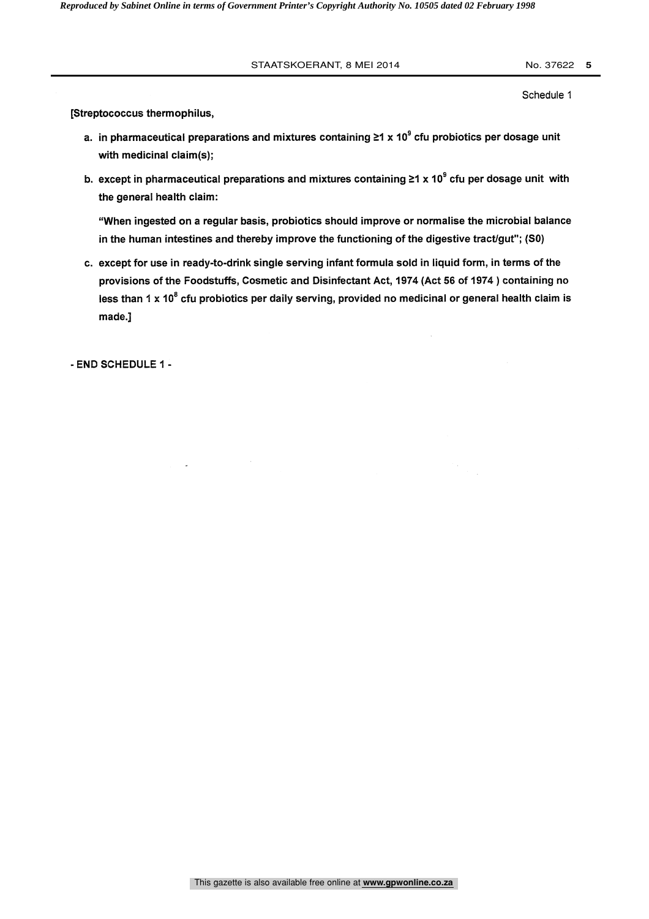Schedule 1

[Streptococcus thermophilus,

- a. in pharmaceutical preparations and mixtures containing  $\geq 1 \times 10^9$  cfu probiotics per dosage unit with medicinal claim(s);
- b. except in pharmaceutical preparations and mixtures containing  $\geq 1 \times 10^9$  cfu per dosage unit with the general health claim:

"When ingested on a regular basis, probiotics should improve or normalise the microbial balance in the human intestines and thereby improve the functioning of the digestive tract/gut"; (S0)

c. except for use in ready-to-drink single serving infant formula sold in liquid form, in terms of the provisions of the Foodstuffs, Cosmetic and Disinfectant Act, 1974 (Act 56 of 1974) containing no less than 1 x  $10^8$  cfu probiotics per daily serving, provided no medicinal or general health claim is made.]

- END SCHEDULE 1 -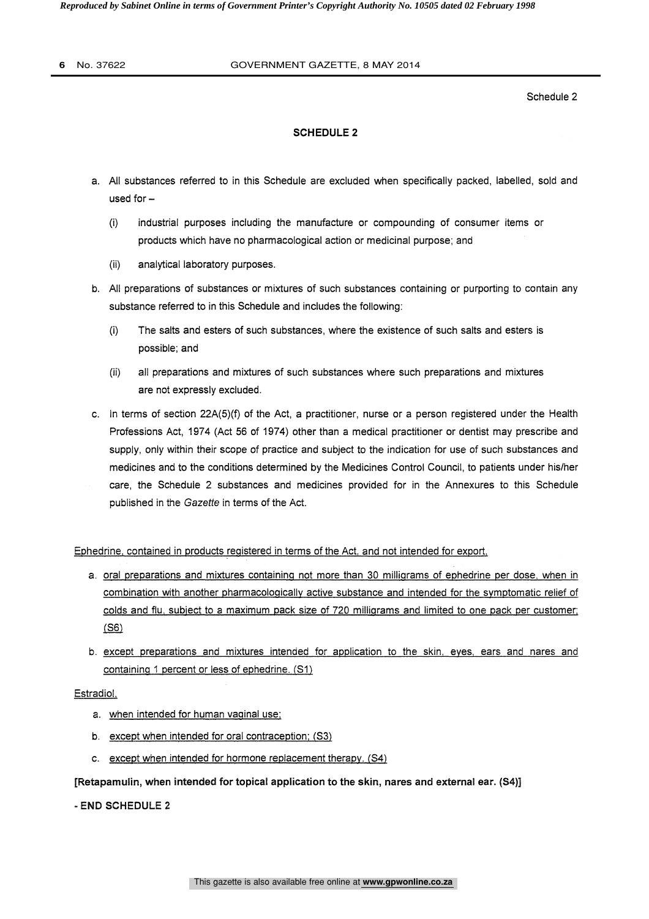*Reproduced by Sabinet Online in terms of Government Printer's Copyright Authority No. 10505 dated 02 February 1998* 

#### **6** No. 37622 GOVERNMENT GAZETTE, 8 MAY 2014

Schedule 2

## SCHEDULE 2

- a. All substances referred to in this Schedule are excluded when specifically packed, labelled, sold and used for  $-$ 
	- (I) industrial purposes including the manufacture or compounding of consumer items or products which have no pharmacological action or medicinal purpose; and
	- (ii) analytical laboratory purposes.
- b. All preparations of substances or mixtures of such substances containing or purporting to contain any substance referred to in this Schedule and includes the following:
	- (i) The salts and esters of such substances, where the existence of such salts and esters is possible; and
	- (ii) all preparations and mixtures of such substances where such preparations and mixtures are not expressly excluded.
- c. In terms of section 22A(5)(f) of the Act, a practitioner, nurse or a person registered under the Health Professions Act, 1974 (Act 56 of 1974) other than a medical practitioner or dentist may prescribe and supply, only within their scope of practice and subject to the indication for use of such substances and medicines and to the conditions determined by the Medicines Control Council, to patients under his/her care, the Schedule 2 substances and medicines provided for in the Annexures to this Schedule published in the Gazette in terms of the Act.

Ephedrine, contained in products registered in terms of the Act, and not intended for export,

- a. oral preparations and mixtures containing not more than 30 milligrams of ephedrine per dose, when in combination with another pharmacologically active substance and intended for the symptomatic relief of colds and flu, subject to a maximum pack size of 720 milligrams and limited to one pack per customer; (S6)
- b. except preparations and mixtures intended for application to the skin, eyes, ears and nares and containing 1 percent or less of ephedrine. (S1)

## Estradiol,

- a. when intended for human vaginal use;
- b. except when intended for oral contraception; (S3)
- c. except when intended for hormone replacement therapy. (S4)

## [Retapamulin, when intended for topical application to the skin, nares and external ear. (S4)]

- END SCHEDULE 2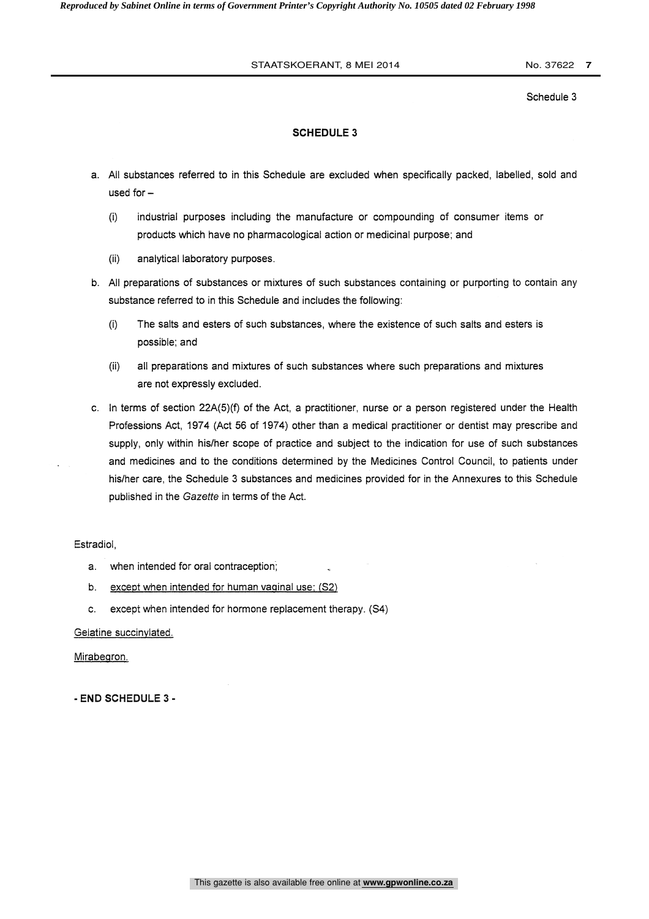Schedule 3

## SCHEDULE 3

- a. All substances referred to in this Schedule are excluded when specifically packed, labelled, sold and used for  $-$ 
	- (I) industrial purposes including the manufacture or compounding of consumer items or products which have no pharmacological action or medicinal purpose; and
	- (ii) analytical laboratory purposes.
- b. All preparations of substances or mixtures of such substances containing or purporting to contain any substance referred to in this Schedule and includes the following:
	- (i) The salts and esters of such substances, where the existence of such salts and esters is possible; and
	- (ii) all preparations and mixtures of such substances where such preparations and mixtures are not expressly excluded.
- c. In terms of section 22A(5)(f) of the Act, a practitioner, nurse or a person registered under the Health Professions Act, 1974 (Act 56 of 1974) other than a medical practitioner or dentist may prescribe and supply, only within his/her scope of practice and subject to the indication for use of such substances and medicines and to the conditions determined by the Medicines Control Council, to patients under his/her care, the Schedule 3 substances and medicines provided for in the Annexures to this Schedule published in the Gazette in terms of the Act.

Estradiol,

- a. when intended for oral contraception;
- b. except when intended for human vaginal use; (S2)
- c. except when intended for hormone replacement therapy. (S4)

Gelatine succinvlated.

Mirabegron.

- END SCHEDULE 3 -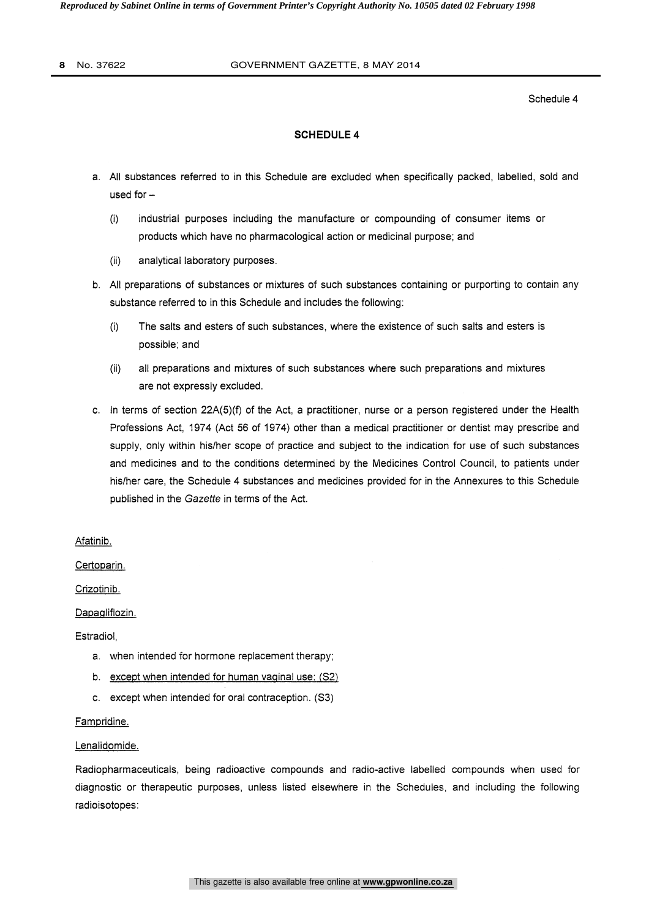#### **8** No. 37622 GOVERNMENT GAZETTE, 8 MAY 2014

Schedule 4

#### SCHEDULE 4

- a. All substances referred to in this Schedule are excluded when specifically packed, labelled, sold and used for  $-$ 
	- (I) industrial purposes including the manufacture or compounding of consumer items or products which have no pharmacological action or medicinal purpose; and
	- (ii) analytical laboratory purposes.
- b. All preparations of substances or mixtures of such substances containing or purporting to contain any substance referred to in this Schedule and includes the following:
	- (i) The salts and esters of such substances, where the existence of such salts and esters is possible; and
	- (ii) all preparations and mixtures of such substances where such preparations and mixtures are not expressly excluded.
- c. In terms of section 22A(5)(f) of the Act, a practitioner, nurse or a person registered under the Health Professions Act, 1974 (Act 56 of 1974) other than a medical practitioner or dentist may prescribe and supply, only within his/her scope of practice and subject to the indication for use of such substances and medicines and to the conditions determined by the Medicines Control Council, to patients under his/her care, the Schedule 4 substances and medicines provided for in the Annexures to this Schedule published in the Gazette in terms of the Act.

Afatinib.

Certoparin.

Crizotinib.

Dapaglifiozin.

Estradiol,

- a. when intended for hormone replacement therapy;
- b. except when intended for human vaginal use; (S2)
- e. except when intended for oral contraception. (S3)

## Fampridine.

## Lenalidomide.

Radiopharmaceuticals, being radioactive compounds and radio-active labelled compounds when used for diagnostic or therapeutic purposes, unless listed elsewhere in the Schedules, and including the following radioisotopes: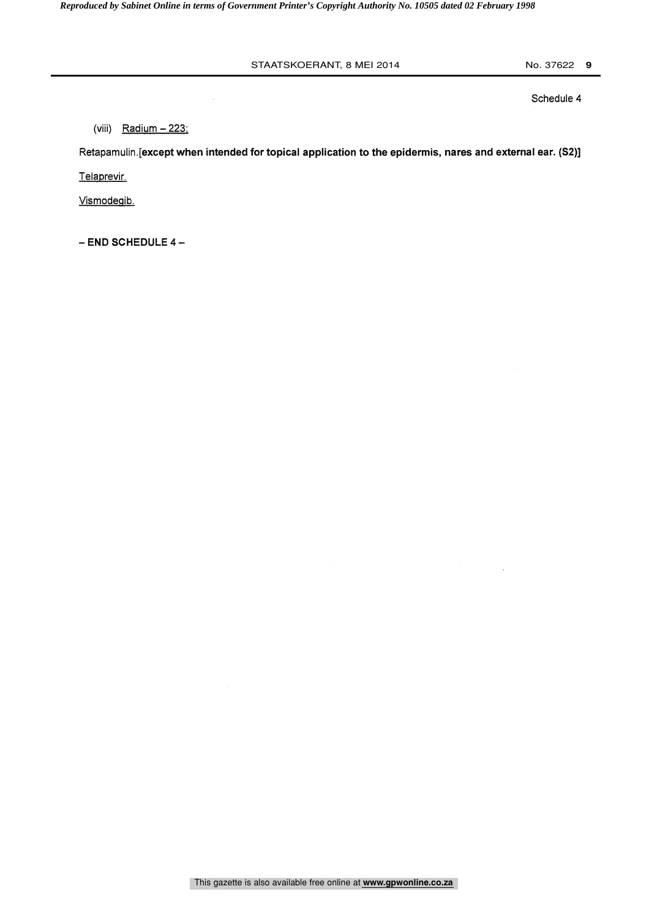Schedule 4

(viii) Radium  $-223$ ;

Retapamulin.[except when intended for topical application to the epidermis, nares and external ear. (S2)] Telaprevir.

Vismodegib.

- END SCHEDULE 4-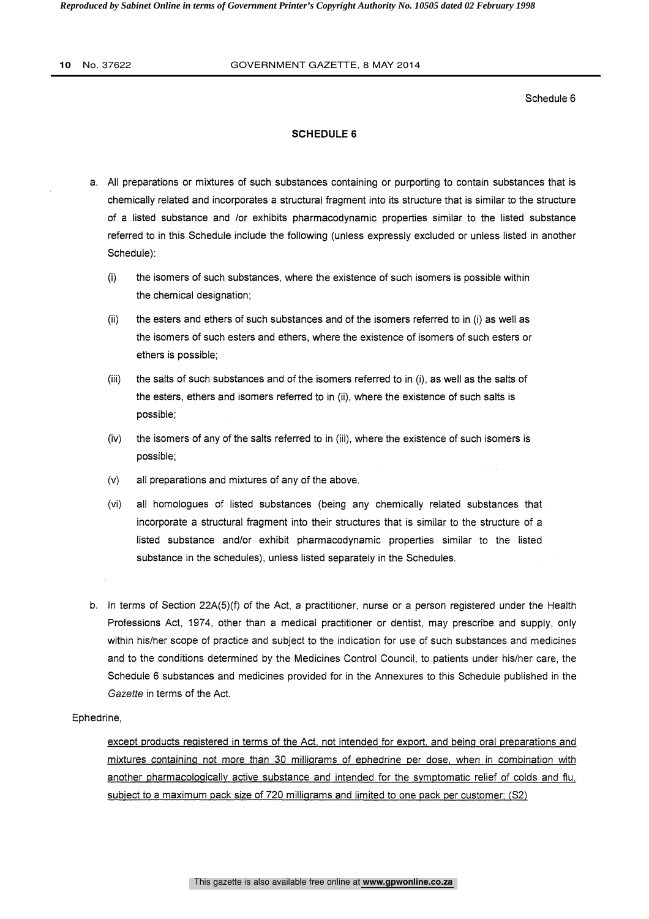*Reproduced by Sabinet Online in terms of Government Printer's Copyright Authority No. 10505 dated 02 February 1998* 

#### **10** No. 37622 GOVERNMENT GAZETTE, 8 MAY 2014

Schedule 6

#### SCHEDULE 6

- a. All preparations or mixtures of such substances containing or purporting to contain substances that is chemically related and incorporates a structural fragment into its structure that is similar to the structure of a listed substance and /or exhibits pharmacodynamic properties similar to the listed substance referred to in this Schedule include the following (unless expressly excluded or unless listed in another Schedule):
	- (i) the isomers of such substances, where the existence of such isomers is possible within the chemical designation;
	- (ii) the esters and ethers of such substances and of the isomers referred to in (i) as well as the isomers of such esters and ethers, where the existence of isomers of such esters or ethers is possible;
	- (iii) the salts of such substances and of the isomers referred to in (i), as well as the salts of the esters, ethers and isomers referred to in (ii), where the existence of such salts is possible;
	- (iv) the isomers of any of the salts referred to in (iii), where the existence of such isomers is possible;
	- (v) all preparations and mixtures of any of the above.
	- (vi) all homologues of listed substances (being any chemically related substances that incorporate a structural fragment into their structures that is similar to the structure of a listed substance and/or exhibit pharmacodynamic properties similar to the listed substance in the schedules), unless listed separately in the Schedules.
- b. In terms of Section 22A(5)(f) of the Act, a practitioner, nurse or a person registered under the Health Professions Act, 1974, other than a medical practitioner or dentist, may prescribe and supply, only within his/her scope of practice and subject to the indication for use of such substances and medicines and to the conditions determined by the Medicines Control Council, to patients under his/her care, the Schedule 6 substances and medicines provided for in the Annexures to this Schedule published in the Gazette in terms of the Act.

#### Ephedrine,

except products registered in terms of the Act, not intended for export, and being oral preparations and mixtures containing not more than 30 milligrams of ephedrine per dose, when in combination with another pharmacologically active substance and intended for the symptomatic relief of colds and flu, subject to a maximum pack size of 720 milligrams and limited to one pack per customer; (S2)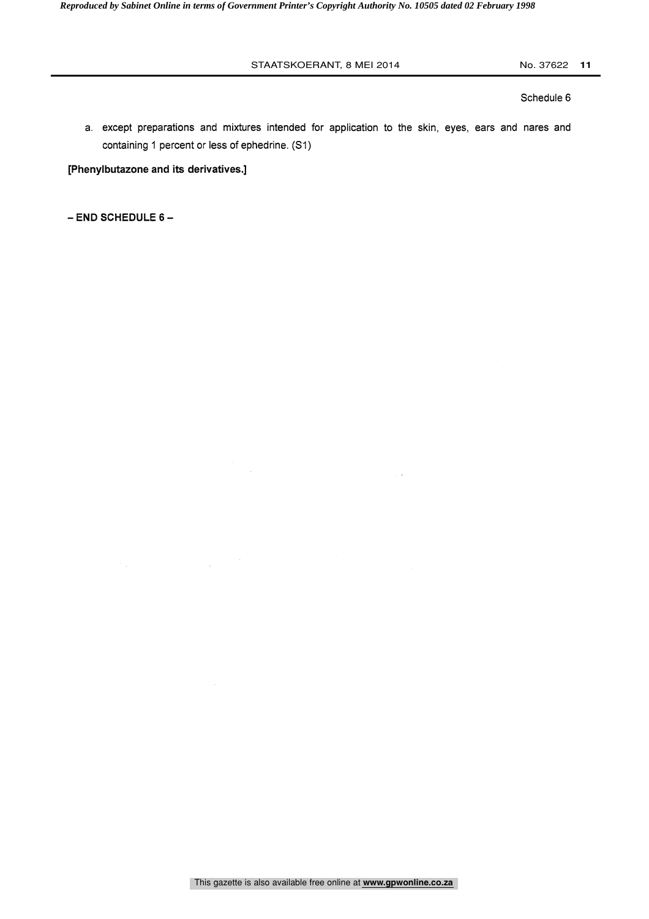Schedule 6

a. except preparations and mixtures intended for application to the skin, eyes, ears and nares and containing 1 percent or less of ephedrine. (S1)

[Phenylbutazone and its derivatives.]

- END SCHEDULE 6-